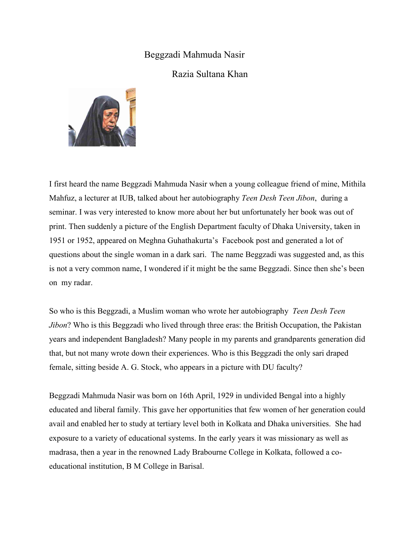## Beggzadi Mahmuda Nasir

## Razia Sultana Khan



I first heard the name Beggzadi Mahmuda Nasir when a young colleague friend of mine, Mithila Mahfuz, a lecturer at IUB, talked about her autobiography *Teen Desh Teen Jibon*, during a seminar. I was very interested to know more about her but unfortunately her book was out of print. Then suddenly a picture of the English Department faculty of Dhaka University, taken in 1951 or 1952, appeared on Meghna Guhathakurta's Facebook post and generated a lot of questions about the single woman in a dark sari. The name Beggzadi was suggested and, as this is not a very common name, I wondered if it might be the same Beggzadi. Since then she's been on my radar.

So who is this Beggzadi, a Muslim woman who wrote her autobiography *Teen Desh Teen Jibon*? Who is this Beggzadi who lived through three eras: the British Occupation, the Pakistan years and independent Bangladesh? Many people in my parents and grandparents generation did that, but not many wrote down their experiences. Who is this Beggzadi the only sari draped female, sitting beside A. G. Stock, who appears in a picture with DU faculty?

Beggzadi Mahmuda Nasir was born on 16th April, 1929 in undivided Bengal into a highly educated and liberal family. This gave her opportunities that few women of her generation could avail and enabled her to study at tertiary level both in Kolkata and Dhaka universities. She had exposure to a variety of educational systems. In the early years it was missionary as well as madrasa, then a year in the renowned Lady Brabourne College in Kolkata, followed a coeducational institution, B M College in Barisal.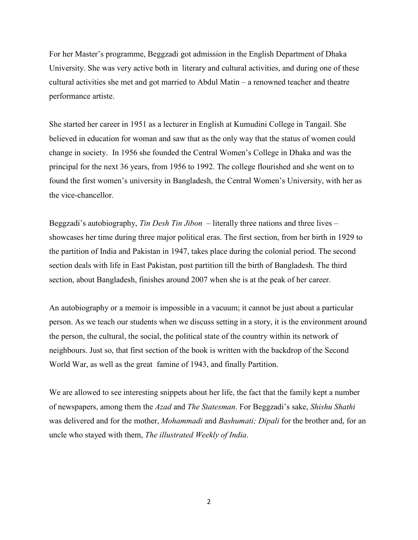For her Master's programme, Beggzadi got admission in the English Department of Dhaka University. She was very active both in literary and cultural activities, and during one of these cultural activities she met and got married to Abdul Matin – a renowned teacher and theatre performance artiste.

She started her career in 1951 as a lecturer in English at Kumudini College in Tangail. She believed in education for woman and saw that as the only way that the status of women could change in society. In 1956 she founded the Central Women's College in Dhaka and was the principal for the next 36 years, from 1956 to 1992. The college flourished and she went on to found the first women's university in Bangladesh, the Central Women's University, with her as the vice-chancellor.

Beggzadi's autobiography, *Tin Desh Tin Jibon* – literally three nations and three lives – showcases her time during three major political eras. The first section, from her birth in 1929 to the partition of India and Pakistan in 1947, takes place during the colonial period. The second section deals with life in East Pakistan, post partition till the birth of Bangladesh. The third section, about Bangladesh, finishes around 2007 when she is at the peak of her career.

An autobiography or a memoir is impossible in a vacuum; it cannot be just about a particular person. As we teach our students when we discuss setting in a story, it is the environment around the person, the cultural, the social, the political state of the country within its network of neighbours. Just so, that first section of the book is written with the backdrop of the Second World War, as well as the great famine of 1943, and finally Partition.

We are allowed to see interesting snippets about her life, the fact that the family kept a number of newspapers, among them the *Azad* and *The Statesman*. For Beggzadi's sake, *Shishu Shathi* was delivered and for the mother, *Mohammadi* and *Bashumati; Dipali* for the brother and, for an uncle who stayed with them, *The illustrated Weekly of India*.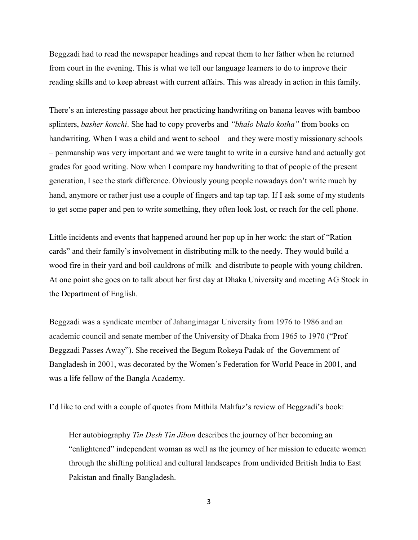Beggzadi had to read the newspaper headings and repeat them to her father when he returned from court in the evening. This is what we tell our language learners to do to improve their reading skills and to keep abreast with current affairs. This was already in action in this family.

There's an interesting passage about her practicing handwriting on banana leaves with bamboo splinters, *basher konchi*. She had to copy proverbs and *"bhalo bhalo kotha"* from books on handwriting. When I was a child and went to school – and they were mostly missionary schools – penmanship was very important and we were taught to write in a cursive hand and actually got grades for good writing. Now when I compare my handwriting to that of people of the present generation, I see the stark difference. Obviously young people nowadays don't write much by hand, anymore or rather just use a couple of fingers and tap tap tap. If I ask some of my students to get some paper and pen to write something, they often look lost, or reach for the cell phone.

Little incidents and events that happened around her pop up in her work: the start of "Ration cards" and their family's involvement in distributing milk to the needy. They would build a wood fire in their yard and boil cauldrons of milk and distribute to people with young children. At one point she goes on to talk about her first day at Dhaka University and meeting AG Stock in the Department of English.

Beggzadi was a syndicate member of Jahangirnagar University from 1976 to 1986 and an academic council and senate member of the University of Dhaka from 1965 to 1970 ("Prof Beggzadi Passes Away"). She received the [Begum Rokeya Padak](https://en.wikipedia.org/wiki/Begum_Rokeya_Padak) of the [Government of](https://en.wikipedia.org/wiki/Government_of_Bangladesh)  [Bangladesh](https://en.wikipedia.org/wiki/Government_of_Bangladesh) in 2001, was decorated by the Women's Federation for World Peace in 2001, and was a life fellow of the Bangla Academy.

I'd like to end with a couple of quotes from Mithila Mahfuz's review of Beggzadi's book:

Her autobiography *Tin Desh Tin Jibon* describes the journey of her becoming an "enlightened" independent woman as well as the journey of her mission to educate women through the shifting political and cultural landscapes from undivided British India to East Pakistan and finally Bangladesh.